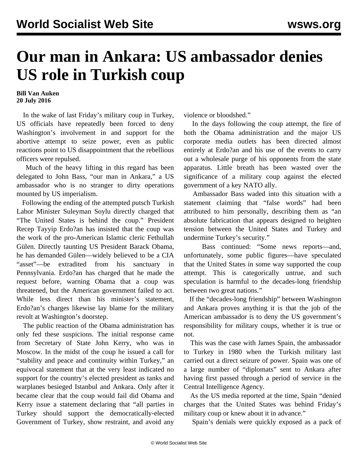## **Our man in Ankara: US ambassador denies US role in Turkish coup**

**Bill Van Auken 20 July 2016**

 In the wake of last Friday's military coup in Turkey, US officials have repeatedly been forced to deny Washington's involvement in and support for the abortive attempt to seize power, even as public reactions point to US disappointment that the rebellious officers were repulsed.

 Much of the heavy lifting in this regard has been delegated to John Bass, "our man in Ankara," a US ambassador who is no stranger to dirty operations mounted by US imperialism.

 Following the ending of the attempted putsch Turkish Labor Minister Suleyman Soylu directly charged that "The United States is behind the coup." President Recep Tayyip Erdo?an has insisted that the coup was the work of the pro-American Islamic cleric Fethullah Gülen. Directly taunting US President Barack Obama, he has demanded Gülen—widely believed to be a CIA "asset"—be extradited from his sanctuary in Pennsylvania. Erdo?an has charged that he made the request before, warning Obama that a coup was threatened, but the American government failed to act. While less direct than his minister's statement, Erdo?an's charges likewise lay blame for the military revolt at Washington's doorstep.

 The public reaction of the Obama administration has only fed these suspicions. The initial response came from Secretary of State John Kerry, who was in Moscow. In the midst of the coup he issued a call for "stability and peace and continuity within Turkey," an equivocal statement that at the very least indicated no support for the country's elected president as tanks and warplanes besieged Istanbul and Ankara. Only after it became clear that the coup would fail did Obama and Kerry issue a statement declaring that "all parties in Turkey should support the democratically-elected Government of Turkey, show restraint, and avoid any

violence or bloodshed."

 In the days following the coup attempt, the fire of both the Obama administration and the major US corporate media outlets has been directed almost entirely at Erdo?an and his use of the events to carry out a wholesale purge of his opponents from the state apparatus. Little breath has been wasted over the significance of a military coup against the elected government of a key NATO ally.

 Ambassador Bass waded into this situation with a statement claiming that "false words" had been attributed to him personally, describing them as "an absolute fabrication that appears designed to heighten tension between the United States and Turkey and undermine Turkey's security."

 Bass continued: "Some news reports—and, unfortunately, some public figures—have speculated that the United States in some way supported the coup attempt. This is categorically untrue, and such speculation is harmful to the decades-long friendship between two great nations."

 If the "decades-long friendship" between Washington and Ankara proves anything it is that the job of the American ambassador is to deny the US government's responsibility for military coups, whether it is true or not.

 This was the case with James Spain, the ambassador to Turkey in 1980 when the Turkish military last carried out a direct seizure of power. Spain was one of a large number of "diplomats" sent to Ankara after having first passed through a period of service in the Central Intelligence Agency.

 As the US media reported at the time, Spain "denied charges that the United States was behind Friday's military coup or knew about it in advance."

Spain's denials were quickly exposed as a pack of